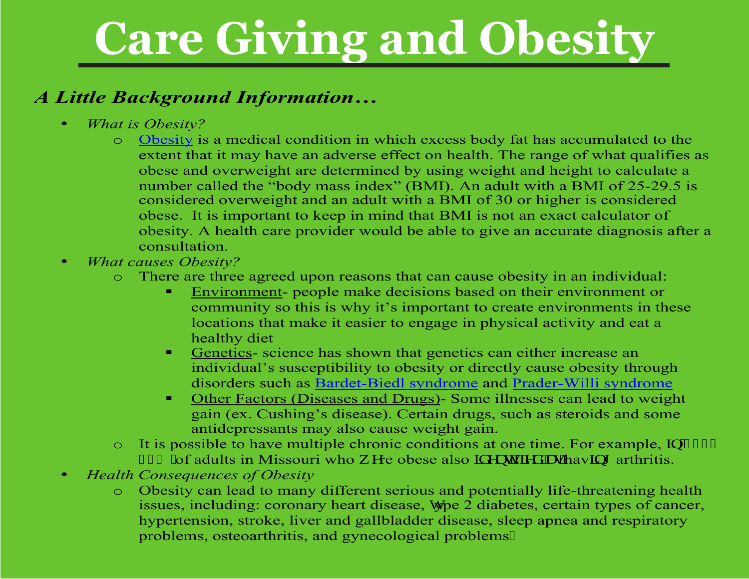#### *A Little Background Information…*

- *What is Obesity?* 
	- o [Obesity](http://www.obesityhelp.com/) is a medical condition in which excess body fat has accumulated to the extent that it may have an adverse effect on health. The range of what qualifies as obese and overweight are determined by using weight and height to calculate a number called the "body mass index" (BMI). An adult with a BMI of 25-29.5 is considered overweight and an adult with a BMI of 30 or higher is considered obese. It is important to keep in mind that BMI is not an exact calculator of obesity. A health care provider would be able to give an accurate diagnosis after a consultation.
- *What causes Obesity?* 
	- o There are three agreed upon reasons that can cause obesity in an individual:
		- Environment- people make decisions based on their environment or community so this is why it's important to create environments in these locations that make it easier to engage in physical activity and eat a healthy diet
		- Genetics- science has shown that genetics can either increase an individual's susceptibility to obesity or directly cause obesity through disorders such as [Bardet-Biedl syndrome](http://ghr.nlm.nih.gov/condition/bardet-biedl-syndrome) and [Prader-Willi syndrome](http://www.mayoclinic.com/health/prader-willi-syndrome/DS00922)
		- Other Factors (Diseases and Drugs)- Some illnesses can lead to weight gain (ex. Cushing's disease). Certain drugs, such as steroids and some antidepressants may also cause weight gain.
	- $\circ$  It is possible to have multiple chronic conditions at one time. For example,  $\wp$  4233 63' "of adults in Missouri who y gre obese also K gp whights "cu'hav kpi arthritis.
- *Health Consequences of Obesity* 
	- o Obesity can lead to many different serious and potentially life-threatening health issues, including: coronary heart disease, Wype 2 diabetes, certain types of cancer, hypertension, stroke, liver and gallbladder disease, sleep apnea and respiratory problems, osteoarthritis, and gynecological problems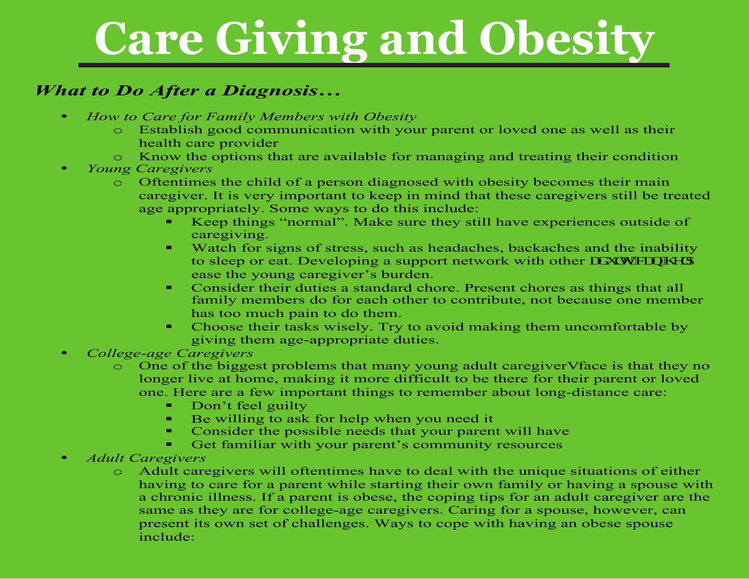#### *What to Do After a Diagnosis…*

- *How to Care for Family Members with Obesity* 
	- o Establish good communication with your parent or loved one as well as their health care provider
	- o Know the options that are available for managing and treating their condition
- *Young Caregivers* 
	- o Oftentimes the child of a person diagnosed with obesity becomes their main caregiver. It is very important to keep in mind that these caregivers still be treated age appropriately. Some ways to do this include:
		- Keep things "normal". Make sure they still have experiences outside of caregiving.
		- Watch for signs of stress, such as headaches, backaches and the inability to sleep or eat. Developing a support network with other of www. ease the young caregiver's burden.
		- Consider their duties a standard chore. Present chores as things that all family members do for each other to contribute, not because one member has too much pain to do them.
		- Choose their tasks wisely. Try to avoid making them uncomfortable by giving them age-appropriate duties.
- *College-age Caregivers* 
	- One of the biggest problems that many young adult caregiveru face is that they no longer live at home, making it more difficult to be there for their parent or loved one. Here are a few important things to remember about long-distance care:
		- Don't feel guilty
		- Be willing to ask for help when you need it
		- Consider the possible needs that your parent will have
		- Get familiar with your parent's community resources
- *Adult Caregivers* 
	- o Adult caregivers will oftentimes have to deal with the unique situations of either having to care for a parent while starting their own family or having a spouse with a chronic illness. If a parent is obese, the coping tips for an adult caregiver are the same as they are for college-age caregivers. Caring for a spouse, however, can present its own set of challenges. Ways to cope with having an obese spouse include: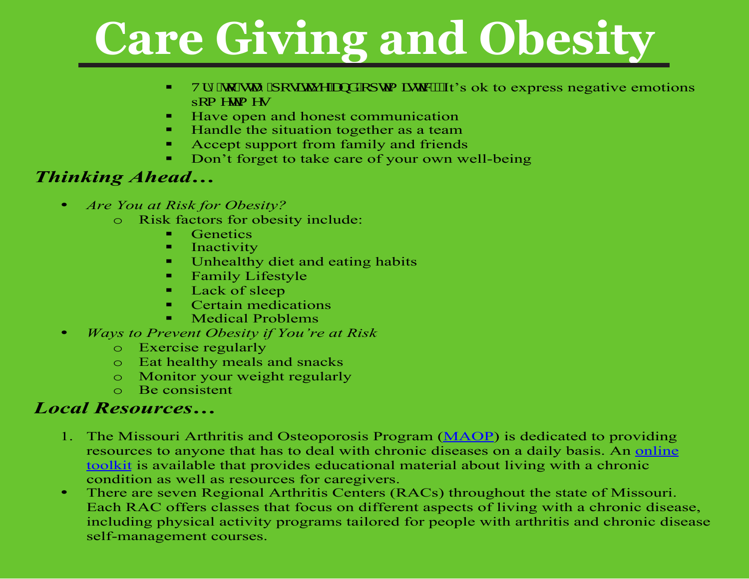- $\blacksquare$  Vt { "vq"uve { "r qukkx g"epf" qr who kuke 0" It's ok to express negative emotions sqo gylo gu
- Have open and honest communication
- Handle the situation together as a team
- Accept support from family and friends
- Don't forget to take care of your own well-being

#### *Thinking Ahead…*

- *Are You at Risk for Obesity?*
	- o Risk factors for obesity include:
		- **Genetics**
		- **Inactivity**
		- Unhealthy diet and eating habits
		- **Family Lifestyle**
		- Lack of sleep
		- Certain medications
		- Medical Problems
- *Ways to Prevent Obesity if You're at Risk*
	- o Exercise regularly
	- o Eat healthy meals and snacks
	- o Monitor your weight regularly
	- o Be consistent

#### *Local Resources…*

- 1. The Missouri Arthritis and Osteoporosis Program [\(MAOP\)](http://www.moarthritis.org/) is dedicated to providing resources to anyone that has to deal with chronic diseases on a daily basis. An [online](http://moarthritis.typepad.com/selfmanagement_toolkit/)  [toolkit](http://moarthritis.typepad.com/selfmanagement_toolkit/) is available that provides educational material about living with a chronic condition as well as resources for caregivers.
- There are seven Regional Arthritis Centers (RACs) throughout the state of Missouri. Each RAC offers classes that focus on different aspects of living with a chronic disease, including physical activity programs tailored for people with arthritis and chronic disease self-management courses.